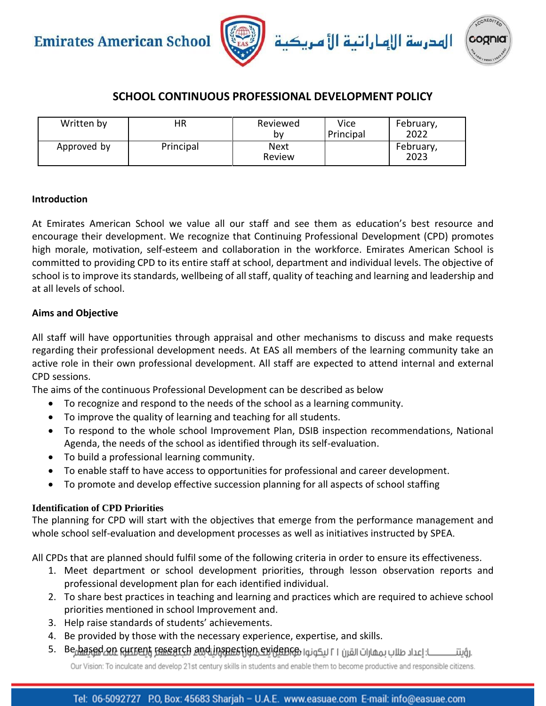

### **SCHOOL CONTINUOUS PROFESSIONAL DEVELOPMENT POLICY**

| Written by  | ΗR        | Reviewed<br>b٧ | Vice<br>Principal | February,<br>2022 |
|-------------|-----------|----------------|-------------------|-------------------|
| Approved by | Principal | Next<br>Review |                   | February,<br>2023 |

#### **Introduction**

At Emirates American School we value all our staff and see them as education's best resource and encourage their development. We recognize that Continuing Professional Development (CPD) promotes high morale, motivation, self-esteem and collaboration in the workforce. Emirates American School is committed to providing CPD to its entire staff at school, department and individual levels. The objective of school is to improve its standards, wellbeing of all staff, quality of teaching and learning and leadership and at all levels of school.

#### **Aims and Objective**

All staff will have opportunities through appraisal and other mechanisms to discuss and make requests regarding their professional development needs. At EAS all members of the learning community take an active role in their own professional development. All staff are expected to attend internal and external CPD sessions.

The aims of the continuous Professional Development can be described as below

- To recognize and respond to the needs of the school as a learning community.
- To improve the quality of learning and teaching for all students.
- To respond to the whole school Improvement Plan, DSIB inspection recommendations, National Agenda, the needs of the school as identified through its self-evaluation.
- To build a professional learning community.
- To enable staff to have access to opportunities for professional and career development.
- To promote and develop effective succession planning for all aspects of school staffing

### **Identification of CPD Priorities**

The planning for CPD will start with the objectives that emerge from the performance management and whole school self-evaluation and development processes as well as initiatives instructed by SPEA.

All CPDs that are planned should fulfil some of the following criteria in order to ensure its effectiveness.

- 1. Meet department or school development priorities, through lesson observation reports and professional development plan for each identified individual.
- 2. To share best practices in teaching and learning and practices which are required to achieve school priorities mentioned in school Improvement and.
- 3. Help raise standards of students' achievements.
- 4. Be provided by those with the necessary experience, expertise, and skills.
- 5. Be based on Current research and inspection evidence use in Light union ullusing .

Our Vision: To inculcate and develop 21st century skills in students and enable them to become productive and responsible citizens.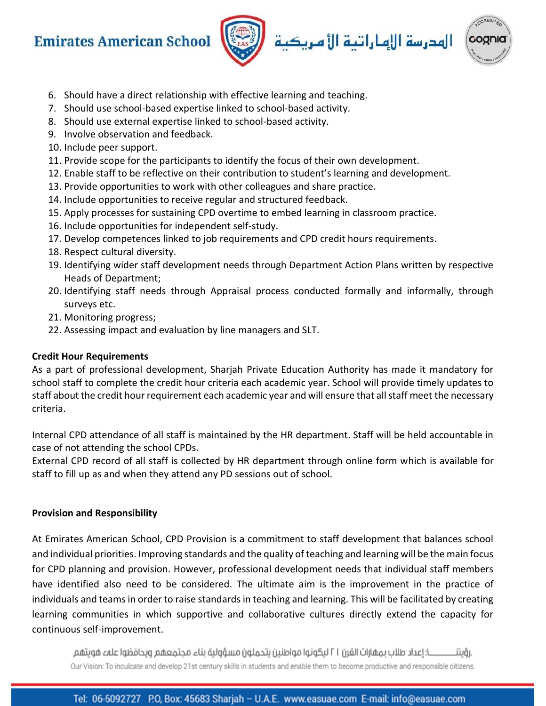





- 6. Should have a direct relationship with effective learning and teaching.
- 7. Should use school-based expertise linked to school-based activity.
- 8. Should use external expertise linked to school-based activity.
- 9. Involve observation and feedback.
- 10. Include peer support.
- 11. Provide scope for the participants to identify the focus of their own development.
- 12. Enable staff to be reflective on their contribution to student's learning and development.
- 13. Provide opportunities to work with other colleagues and share practice.
- 14. Include opportunities to receive regular and structured feedback.
- 15. Apply processes for sustaining CPD overtime to embed learning in classroom practice.
- 16. Include opportunities for independent self-study.
- 17. Develop competences linked to job requirements and CPD credit hours requirements.
- 18. Respect cultural diversity.
- 19. Identifying wider staff development needs through Department Action Plans written by respective Heads of Department;
- 20. Identifying staff needs through Appraisal process conducted formally and informally, through surveys etc.
- 21. Monitoring progress;
- 22. Assessing impact and evaluation by line managers and SLT.

### **Credit Hour Requirements**

As a part of professional development, Sharjah Private Education Authority has made it mandatory for school staff to complete the credit hour criteria each academic year. School will provide timely updates to staff about the credit hour requirement each academic year and will ensure that all staff meet the necessary criteria.

Internal CPD attendance of all staff is maintained by the HR department. Staff will be held accountable in case of not attending the school CPDs.

External CPD record of all staff is collected by HR department through online form which is available for staff to fill up as and when they attend any PD sessions out of school.

### **Provision and Responsibility**

At Emirates American School, CPD Provision is a commitment to staff development that balances school and individual priorities. Improving standards and the quality of teaching and learning will be the main focus for CPD planning and provision. However, professional development needs that individual staff members have identified also need to be considered. The ultimate aim is the improvement in the practice of individuals and teams in order to raise standards in teaching and learning. This will be facilitated by creating learning communities in which supportive and collaborative cultures directly extend the capacity for continuous self-improvement.

ــــــا: إعداد طلاب يمقارات القرن ٢١ ليكونوا مواطنين يتحملون مسؤولية بناء محتمعهم ويحافظوا علمء هويتهم .رۇىتتــ Our Vision: To inculcate and develop 21st century skills in students and enable them to become productive and responsible citizens.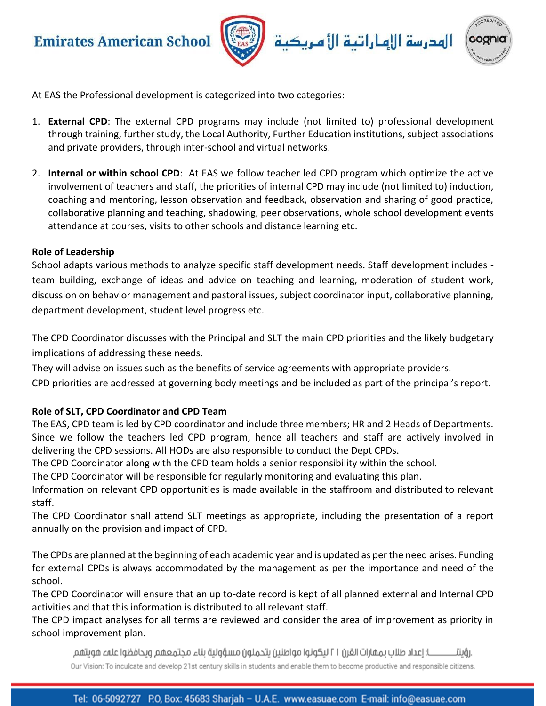

الهدرسة الإهاراتية الأ مريكية



At EAS the Professional development is categorized into two categories:

- 1. **External CPD**: The external CPD programs may include (not limited to) professional development through training, further study, the Local Authority, Further Education institutions, subject associations and private providers, through inter-school and virtual networks.
- 2. **Internal or within school CPD**: At EAS we follow teacher led CPD program which optimize the active involvement of teachers and staff, the priorities of internal CPD may include (not limited to) induction, coaching and mentoring, lesson observation and feedback, observation and sharing of good practice, collaborative planning and teaching, shadowing, peer observations, whole school development events attendance at courses, visits to other schools and distance learning etc.

#### **Role of Leadership**

School adapts various methods to analyze specific staff development needs. Staff development includes team building, exchange of ideas and advice on teaching and learning, moderation of student work, discussion on behavior management and pastoral issues, subject coordinator input, collaborative planning, department development, student level progress etc.

The CPD Coordinator discusses with the Principal and SLT the main CPD priorities and the likely budgetary implications of addressing these needs.

They will advise on issues such as the benefits of service agreements with appropriate providers.

CPD priorities are addressed at governing body meetings and be included as part of the principal's report.

### **Role of SLT, CPD Coordinator and CPD Team**

The EAS, CPD team is led by CPD coordinator and include three members; HR and 2 Heads of Departments. Since we follow the teachers led CPD program, hence all teachers and staff are actively involved in delivering the CPD sessions. All HODs are also responsible to conduct the Dept CPDs.

The CPD Coordinator along with the CPD team holds a senior responsibility within the school.

The CPD Coordinator will be responsible for regularly monitoring and evaluating this plan.

Information on relevant CPD opportunities is made available in the staffroom and distributed to relevant staff.

The CPD Coordinator shall attend SLT meetings as appropriate, including the presentation of a report annually on the provision and impact of CPD.

The CPDs are planned at the beginning of each academic year and is updated as per the need arises. Funding for external CPDs is always accommodated by the management as per the importance and need of the school.

The CPD Coordinator will ensure that an up to-date record is kept of all planned external and Internal CPD activities and that this information is distributed to all relevant staff.

The CPD impact analyses for all terms are reviewed and consider the area of improvement as priority in school improvement plan.

ــــــا: إعداد طلاب يمقارات القرن ٢١ ليكونوا مواطنين يتحملون مسؤولية يناء محتمعهم ويحافظوا علمء هويتهم .رۇىتتــ Our Vision: To inculcate and develop 21st century skills in students and enable them to become productive and responsible citizens.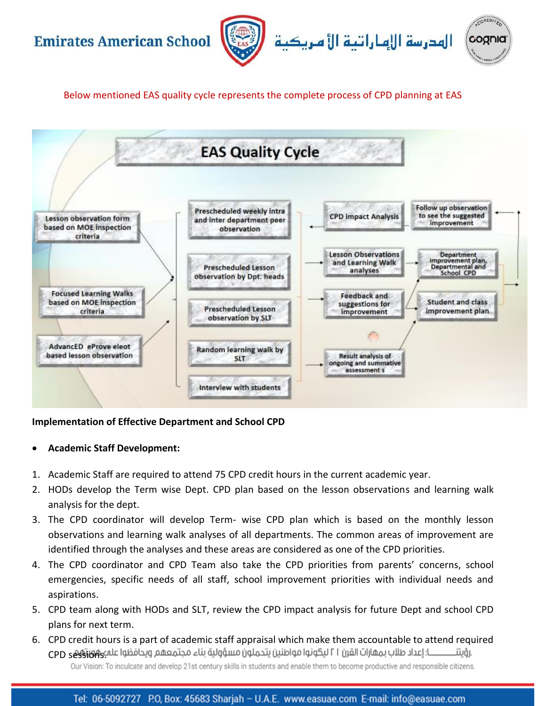



Below mentioned EAS quality cycle represents the complete process of CPD planning at EAS



### **Implementation of Effective Department and School CPD**

### • **Academic Staff Development:**

- 1. Academic Staff are required to attend 75 CPD credit hours in the current academic year.
- 2. HODs develop the Term wise Dept. CPD plan based on the lesson observations and learning walk analysis for the dept.
- 3. The CPD coordinator will develop Term- wise CPD plan which is based on the monthly lesson observations and learning walk analyses of all departments. The common areas of improvement are identified through the analyses and these areas are considered as one of the CPD priorities.
- 4. The CPD coordinator and CPD Team also take the CPD priorities from parents' concerns, school emergencies, specific needs of all staff, school improvement priorities with individual needs and aspirations.
- 5. CPD team along with HODs and SLT, review the CPD impact analysis for future Dept and school CPD plans for next term.
- 6. CPD credit hours is a part of academic staff appraisal which make them accountable to attend required ــا: إعداد طلاب بمهارات القرن ٢١ ليكونوا مواطنين يتحملون مسؤولية بناء مجتمعهم ويحافظوا عله ووكو CPD .رؤىتتـــ Our Vision: To inculcate and develop 21st century skills in students and enable them to become productive and responsible citizens.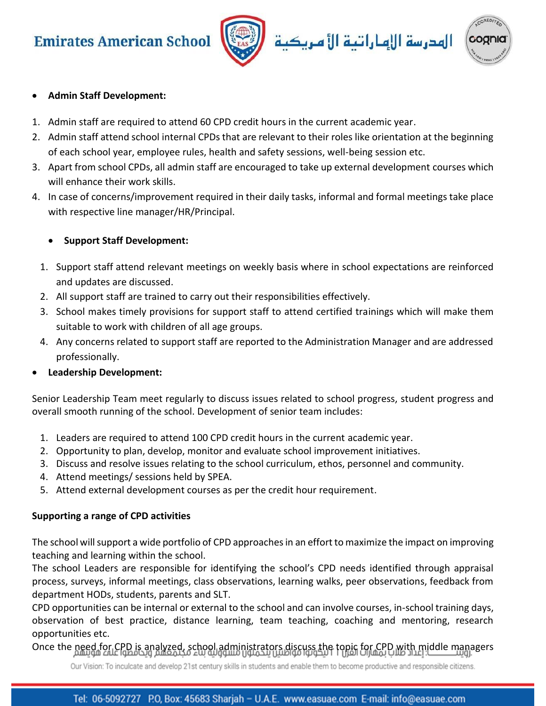



### • **Admin Staff Development:**

- 1. Admin staff are required to attend 60 CPD credit hours in the current academic year.
- 2. Admin staff attend school internal CPDs that are relevant to their roles like orientation at the beginning of each school year, employee rules, health and safety sessions, well-being session etc.
- 3. Apart from school CPDs, all admin staff are encouraged to take up external development courses which will enhance their work skills.
- 4. In case of concerns/improvement required in their daily tasks, informal and formal meetings take place with respective line manager/HR/Principal.

### • **Support Staff Development:**

- 1. Support staff attend relevant meetings on weekly basis where in school expectations are reinforced and updates are discussed.
- 2. All support staff are trained to carry out their responsibilities effectively.
- 3. School makes timely provisions for support staff to attend certified trainings which will make them suitable to work with children of all age groups.
- 4. Any concerns related to support staff are reported to the Administration Manager and are addressed professionally.
- **Leadership Development:**

Senior Leadership Team meet regularly to discuss issues related to school progress, student progress and overall smooth running of the school. Development of senior team includes:

- 1. Leaders are required to attend 100 CPD credit hours in the current academic year.
- 2. Opportunity to plan, develop, monitor and evaluate school improvement initiatives.
- 3. Discuss and resolve issues relating to the school curriculum, ethos, personnel and community.
- 4. Attend meetings/ sessions held by SPEA.
- 5. Attend external development courses as per the credit hour requirement.

### **Supporting a range of CPD activities**

The school will support a wide portfolio of CPD approaches in an effort to maximize the impact on improving teaching and learning within the school.

The school Leaders are responsible for identifying the school's CPD needs identified through appraisal process, surveys, informal meetings, class observations, learning walks, peer observations, feedback from department HODs, students, parents and SLT.

CPD opportunities can be internal or external to the school and can involve courses, in-school training days, observation of best practice, distance learning, team teaching, coaching and mentoring, research opportunities etc.

Once the need for CPD is analyzed, school administrators discuss the topic for CPD with middle managers

Our Vision: To inculcate and develop 21st century skills in students and enable them to become productive and responsible citizens.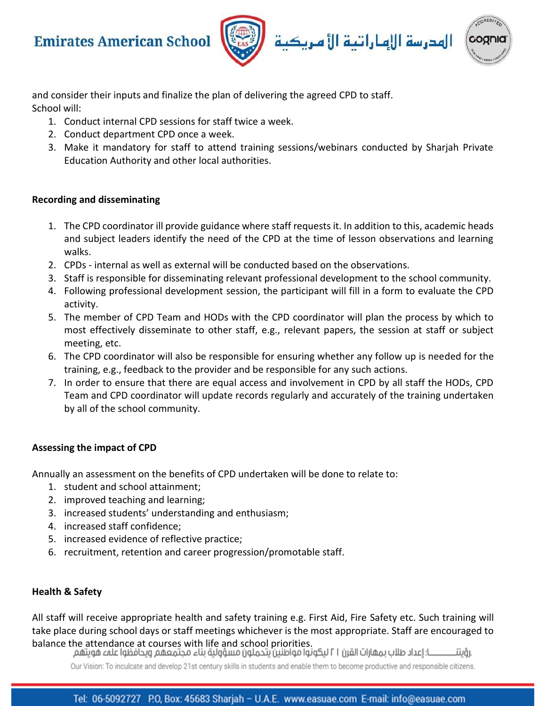



and consider their inputs and finalize the plan of delivering the agreed CPD to staff. School will:

- 1. Conduct internal CPD sessions for staff twice a week.
- 2. Conduct department CPD once a week.
- 3. Make it mandatory for staff to attend training sessions/webinars conducted by Sharjah Private Education Authority and other local authorities.

### **Recording and disseminating**

- 1. The CPD coordinator ill provide guidance where staff requests it. In addition to this, academic heads and subject leaders identify the need of the CPD at the time of lesson observations and learning walks.
- 2. CPDs internal as well as external will be conducted based on the observations.
- 3. Staff is responsible for disseminating relevant professional development to the school community.
- 4. Following professional development session, the participant will fill in a form to evaluate the CPD activity.
- 5. The member of CPD Team and HODs with the CPD coordinator will plan the process by which to most effectively disseminate to other staff, e.g., relevant papers, the session at staff or subject meeting, etc.
- 6. The CPD coordinator will also be responsible for ensuring whether any follow up is needed for the training, e.g., feedback to the provider and be responsible for any such actions.
- 7. In order to ensure that there are equal access and involvement in CPD by all staff the HODs, CPD Team and CPD coordinator will update records regularly and accurately of the training undertaken by all of the school community.

### **Assessing the impact of CPD**

Annually an assessment on the benefits of CPD undertaken will be done to relate to:

- 1. student and school attainment;
- 2. improved teaching and learning;
- 3. increased students' understanding and enthusiasm;
- 4. increased staff confidence;
- 5. increased evidence of reflective practice;
- 6. recruitment, retention and career progression/promotable staff.

### **Health & Safety**

All staff will receive appropriate health and safety training e.g. First Aid, Fire Safety etc. Such training will take place during school days or staff meetings whichever is the most appropriate. Staff are encouraged to balance the attendance at courses with life and school priorities.<br>ـــا: إعداد طلاب بمهارات القرن ٢١ ليكونوا مواطنين يتحملون مسؤولية بناء مجتمعهم ويحافظوا علمء هويتهم

.رۇىتتـ

Our Vision: To inculcate and develop 21st century skills in students and enable them to become productive and responsible citizens.